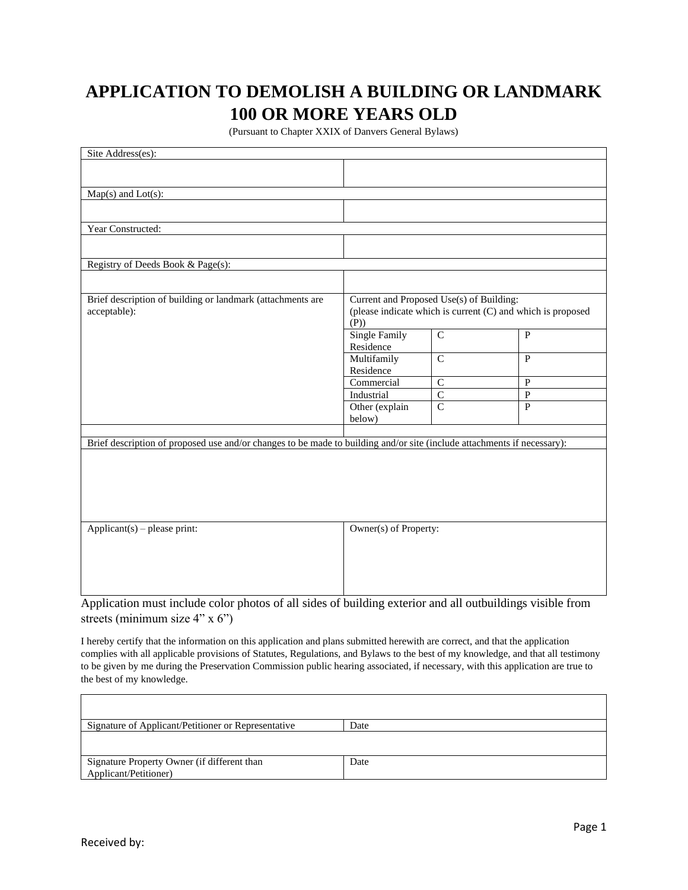## **APPLICATION TO DEMOLISH A BUILDING OR LANDMARK 100 OR MORE YEARS OLD**

(Pursuant to Chapter XXIX of Danvers General Bylaws)

| Site Address(es):                                                                                                       |                                                                                                         |                |                |
|-------------------------------------------------------------------------------------------------------------------------|---------------------------------------------------------------------------------------------------------|----------------|----------------|
|                                                                                                                         |                                                                                                         |                |                |
|                                                                                                                         |                                                                                                         |                |                |
| Map(s) and Lot(s):                                                                                                      |                                                                                                         |                |                |
|                                                                                                                         |                                                                                                         |                |                |
|                                                                                                                         |                                                                                                         |                |                |
| Year Constructed:                                                                                                       |                                                                                                         |                |                |
|                                                                                                                         |                                                                                                         |                |                |
| Registry of Deeds Book & Page(s):                                                                                       |                                                                                                         |                |                |
|                                                                                                                         |                                                                                                         |                |                |
| Brief description of building or landmark (attachments are                                                              | Current and Proposed Use(s) of Building:<br>(please indicate which is current (C) and which is proposed |                |                |
| acceptable):                                                                                                            |                                                                                                         |                |                |
|                                                                                                                         | (P)                                                                                                     |                |                |
|                                                                                                                         | <b>Single Family</b>                                                                                    | $\overline{C}$ | $\mathbf{P}$   |
|                                                                                                                         | Residence<br>Multifamily                                                                                | $\mathsf{C}$   | $\mathbf{P}$   |
|                                                                                                                         | Residence                                                                                               |                |                |
|                                                                                                                         | Commercial                                                                                              | $\mathsf C$    | $\overline{P}$ |
|                                                                                                                         | Industrial                                                                                              | $\mathbf C$    | ${\bf P}$      |
|                                                                                                                         | Other (explain                                                                                          | $\mathsf{C}$   | $\overline{P}$ |
|                                                                                                                         | below)                                                                                                  |                |                |
|                                                                                                                         |                                                                                                         |                |                |
| Brief description of proposed use and/or changes to be made to building and/or site (include attachments if necessary): |                                                                                                         |                |                |
|                                                                                                                         |                                                                                                         |                |                |
|                                                                                                                         |                                                                                                         |                |                |
|                                                                                                                         |                                                                                                         |                |                |
|                                                                                                                         |                                                                                                         |                |                |
|                                                                                                                         |                                                                                                         |                |                |
| $Applicant(s)$ – please print:                                                                                          | Owner(s) of Property:                                                                                   |                |                |
|                                                                                                                         |                                                                                                         |                |                |
|                                                                                                                         |                                                                                                         |                |                |
|                                                                                                                         |                                                                                                         |                |                |
|                                                                                                                         |                                                                                                         |                |                |
|                                                                                                                         |                                                                                                         |                |                |

Application must include color photos of all sides of building exterior and all outbuildings visible from streets (minimum size 4" x 6")

I hereby certify that the information on this application and plans submitted herewith are correct, and that the application complies with all applicable provisions of Statutes, Regulations, and Bylaws to the best of my knowledge, and that all testimony to be given by me during the Preservation Commission public hearing associated, if necessary, with this application are true to the best of my knowledge.

| Signature of Applicant/Petitioner or Representative | Date |
|-----------------------------------------------------|------|
|                                                     |      |
|                                                     |      |
| Signature Property Owner (if different than         | Date |
| Applicant/Petitioner)                               |      |

 $\Gamma$